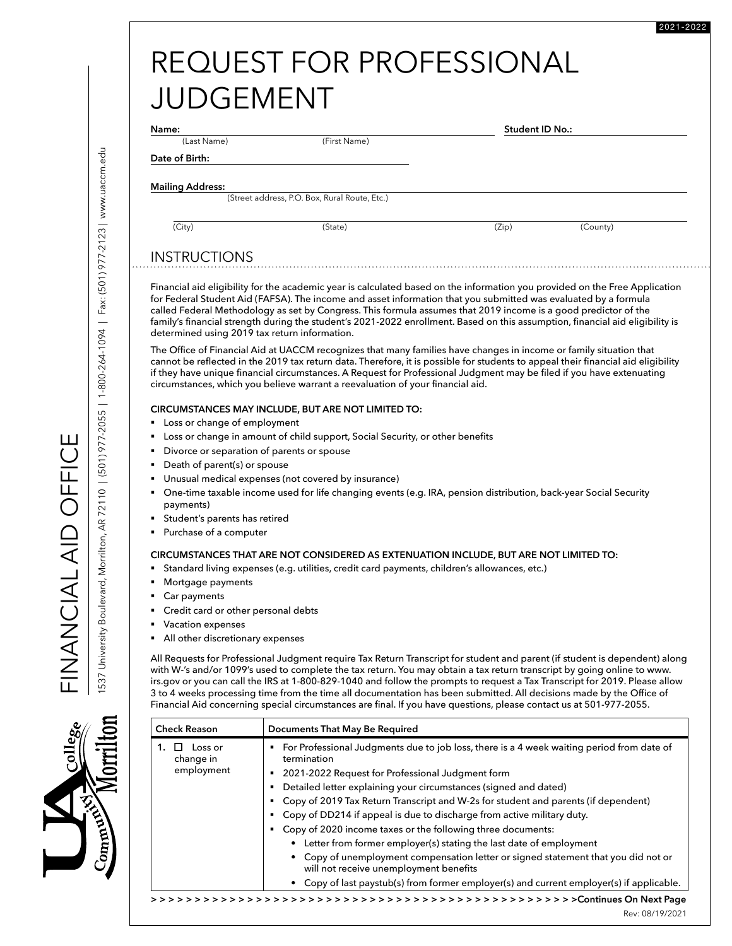| REQUEST FOR PROFESSIONAL |
|--------------------------|
| <b>JUDGEMENT</b>         |

(Last Name) (First Name)

 **Student ID No.:** 

2021-2022

## **Mailing Address:**

**Date of Birth:** 

(Street address, P.O. Box, Rural Route, Etc.)

### (City) (State) (Zip) (County)

INSTRUCTIONS

Financial aid eligibility for the academic year is calculated based on the information you provided on the Free Application for Federal Student Aid (FAFSA). The income and asset information that you submitted was evaluated by a formula called Federal Methodology as set by Congress. This formula assumes that 2019 income is a good predictor of the family's financial strength during the student's 2021-2022 enrollment. Based on this assumption, financial aid eligibility is determined using 2019 tax return information.

The Office of Financial Aid at UACCM recognizes that many families have changes in income or family situation that cannot be reflected in the 2019 tax return data. Therefore, it is possible for students to appeal their financial aid eligibility if they have unique financial circumstances. A Request for Professional Judgment may be filed if you have extenuating circumstances, which you believe warrant a reevaluation of your financial aid.

### **CIRCUMSTANCES MAY INCLUDE, BUT ARE NOT LIMITED TO:**

- Loss or change of employment
- Loss or change in amount of child support, Social Security, or other benefits
- § Divorce or separation of parents or spouse
- § Death of parent(s) or spouse
- Unusual medical expenses (not covered by insurance)
- § One-time taxable income used for life changing events (e.g. IRA, pension distribution, back-year Social Security payments)
- § Student's parents has retired
- Purchase of a computer

### **CIRCUMSTANCES THAT ARE NOT CONSIDERED AS EXTENUATION INCLUDE, BUT ARE NOT LIMITED TO:**

- § Standard living expenses (e.g. utilities, credit card payments, children's allowances, etc.)
- § Mortgage payments
- Car payments
- § Credit card or other personal debts
- § Vacation expenses
- All other discretionary expenses

All Requests for Professional Judgment require Tax Return Transcript for student and parent (if student is dependent) along with W-'s and/or 1099's used to complete the tax return. You may obtain a tax return transcript by going online to www. irs.gov or you can call the IRS at 1-800-829-1040 and follow the prompts to request a Tax Transcript for 2019. Please allow 3 to 4 weeks processing time from the time all documentation has been submitted. All decisions made by the Office of Financial Aid concerning special circumstances are final. If you have questions, please contact us at 501-977-2055.

| <b>Check Reason</b>  | Documents That May Be Required                                                                                               |
|----------------------|------------------------------------------------------------------------------------------------------------------------------|
| Loss or<br>change in | For Professional Judgments due to job loss, there is a 4 week waiting period from date of<br>termination                     |
| employment           | 2021-2022 Request for Professional Judgment form                                                                             |
|                      | Detailed letter explaining your circumstances (signed and dated)                                                             |
|                      | Copy of 2019 Tax Return Transcript and W-2s for student and parents (if dependent)                                           |
|                      | Copy of DD214 if appeal is due to discharge from active military duty.                                                       |
|                      | Copy of 2020 income taxes or the following three documents:                                                                  |
|                      | • Letter from former employer(s) stating the last date of employment                                                         |
|                      | • Copy of unemployment compensation letter or signed statement that you did not or<br>will not receive unemployment benefits |
|                      | Copy of last paystub(s) from former employer(s) and current employer(s) if applicable.                                       |
|                      |                                                                                                                              |

FINANCIAL AID OFFICE

EICELO QI AJ ALIOZAZIL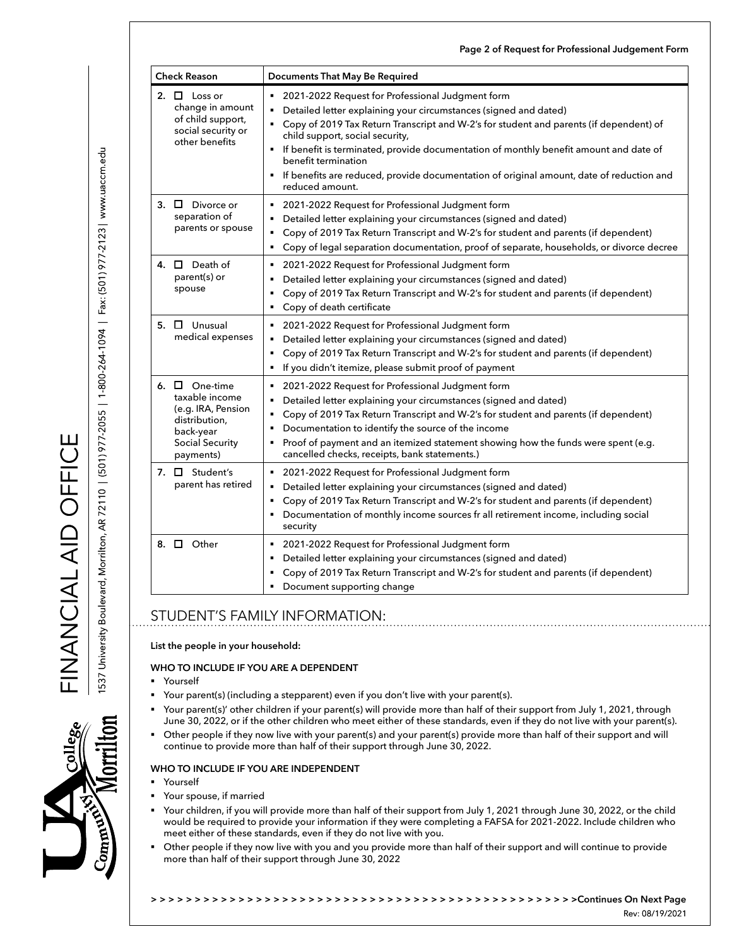| <b>Check Reason</b>                                                                                                             | Documents That May Be Required                                                                                                                                                                                                                                                                                                                                                                                                                                                     |
|---------------------------------------------------------------------------------------------------------------------------------|------------------------------------------------------------------------------------------------------------------------------------------------------------------------------------------------------------------------------------------------------------------------------------------------------------------------------------------------------------------------------------------------------------------------------------------------------------------------------------|
| 2. $\Box$ Loss or<br>change in amount<br>of child support,<br>social security or<br>other benefits                              | 2021-2022 Request for Professional Judgment form<br>Detailed letter explaining your circumstances (signed and dated)<br>" Copy of 2019 Tax Return Transcript and W-2's for student and parents (if dependent) of<br>child support, social security,<br>If benefit is terminated, provide documentation of monthly benefit amount and date of<br>benefit termination<br>If benefits are reduced, provide documentation of original amount, date of reduction and<br>reduced amount. |
| $\Box$ Divorce or<br>3.<br>separation of<br>parents or spouse                                                                   | 2021-2022 Request for Professional Judgment form<br>٠<br>Detailed letter explaining your circumstances (signed and dated)<br>Copy of 2019 Tax Return Transcript and W-2's for student and parents (if dependent)<br>Copy of legal separation documentation, proof of separate, households, or divorce decree<br>٠                                                                                                                                                                  |
| 4. $\Box$ Death of<br>parent(s) or<br>spouse                                                                                    | 2021-2022 Request for Professional Judgment form<br>Detailed letter explaining your circumstances (signed and dated)<br>Copy of 2019 Tax Return Transcript and W-2's for student and parents (if dependent)<br>٠<br>Copy of death certificate<br>٠                                                                                                                                                                                                                                 |
| $5. \Box$ Unusual<br>medical expenses                                                                                           | 2021-2022 Request for Professional Judgment form<br>Detailed letter explaining your circumstances (signed and dated)<br>Copy of 2019 Tax Return Transcript and W-2's for student and parents (if dependent)<br>If you didn't itemize, please submit proof of payment                                                                                                                                                                                                               |
| 6. $\Box$ One-time<br>taxable income<br>(e.g. IRA, Pension<br>distribution,<br>back-year<br><b>Social Security</b><br>payments) | 2021-2022 Request for Professional Judgment form<br>Detailed letter explaining your circumstances (signed and dated)<br>Copy of 2019 Tax Return Transcript and W-2's for student and parents (if dependent)<br>Documentation to identify the source of the income<br>Proof of payment and an itemized statement showing how the funds were spent (e.g.<br>cancelled checks, receipts, bank statements.)                                                                            |
| 7. $\Box$ Student's<br>parent has retired                                                                                       | 2021-2022 Request for Professional Judgment form<br>Detailed letter explaining your circumstances (signed and dated)<br>Copy of 2019 Tax Return Transcript and W-2's for student and parents (if dependent)<br>Documentation of monthly income sources fr all retirement income, including social<br>security                                                                                                                                                                      |
| 8. $\Box$ Other                                                                                                                 | 2021-2022 Request for Professional Judgment form<br>٠<br>Detailed letter explaining your circumstances (signed and dated)<br>Copy of 2019 Tax Return Transcript and W-2's for student and parents (if dependent)<br>Document supporting change                                                                                                                                                                                                                                     |

**Page 2 of Request for Professional Judgement Form**

# STUDENT'S FAMILY INFORMATION:

**List the people in your household:**

### **WHO TO INCLUDE IF YOU ARE A DEPENDENT**

- **Yourself**
- Your parent(s) (including a stepparent) even if you don't live with your parent(s).
- § Your parent(s)' other children if your parent(s) will provide more than half of their support from July 1, 2021, through June 30, 2022, or if the other children who meet either of these standards, even if they do not live with your parent(s).
- Other people if they now live with your parent(s) and your parent(s) provide more than half of their support and will continue to provide more than half of their support through June 30, 2022.

# **WHO TO INCLUDE IF YOU ARE INDEPENDENT**

- **Yourself**
- § Your spouse, if married
- § Your children, if you will provide more than half of their support from July 1, 2021 through June 30, 2022, or the child would be required to provide your information if they were completing a FAFSA for 2021-2022. Include children who meet either of these standards, even if they do not live with you.
- § Other people if they now live with you and you provide more than half of their support and will continue to provide more than half of their support through June 30, 2022

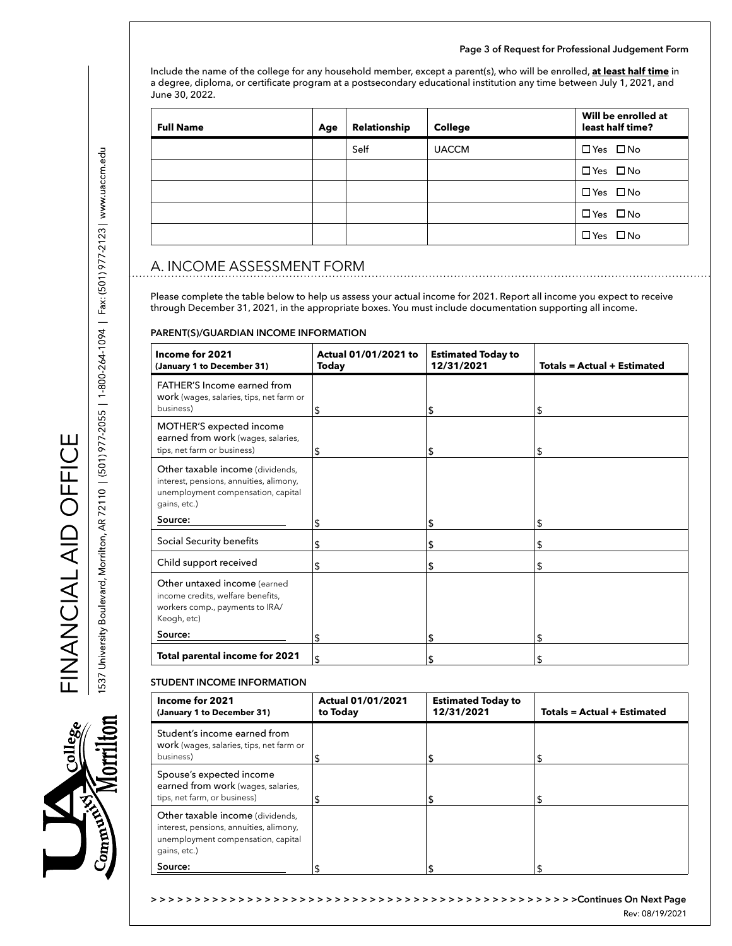#### **Page 3 of Request for Professional Judgement Form**

Include the name of the college for any household member, except a parent(s), who will be enrolled, **at least half time** in a degree, diploma, or certificate program at a postsecondary educational institution any time between July 1, 2021, and June 30, 2022.

| <b>Full Name</b> | Age | Relationship | <b>College</b> | Will be enrolled at<br>least half time? |
|------------------|-----|--------------|----------------|-----------------------------------------|
|                  |     | Self         | <b>UACCM</b>   | $\Box$ Yes $\Box$ No                    |
|                  |     |              |                | $\Box$ Yes $\Box$ No                    |
|                  |     |              |                | $\Box$ Yes $\Box$ No                    |
|                  |     |              |                | $\Box$ Yes $\Box$ No                    |
|                  |     |              |                | $\Box$ Yes $\Box$ No                    |

# A. INCOME ASSESSMENT FORM

Please complete the table below to help us assess your actual income for 2021. Report all income you expect to receive through December 31, 2021, in the appropriate boxes. You must include documentation supporting all income.

#### **PARENT(S)/GUARDIAN INCOME INFORMATION**

| Income for 2021<br>(January 1 to December 31)                                                                                     | Actual 01/01/2021 to<br><b>Today</b> | <b>Estimated Today to</b><br>12/31/2021 | <b>Totals = Actual + Estimated</b> |
|-----------------------------------------------------------------------------------------------------------------------------------|--------------------------------------|-----------------------------------------|------------------------------------|
| FATHER'S Income earned from<br>work (wages, salaries, tips, net farm or<br>business)                                              | \$                                   | \$                                      | \$                                 |
| MOTHER'S expected income<br>earned from work (wages, salaries,<br>tips, net farm or business)                                     | \$                                   | \$                                      | \$                                 |
| Other taxable income (dividends,<br>interest, pensions, annuities, alimony,<br>unemployment compensation, capital<br>gains, etc.) |                                      |                                         |                                    |
| Source:                                                                                                                           | \$                                   | \$                                      | \$                                 |
| Social Security benefits                                                                                                          | \$                                   | \$                                      | \$                                 |
| Child support received                                                                                                            | \$                                   | \$                                      | \$                                 |
| Other untaxed income (earned<br>income credits, welfare benefits,<br>workers comp., payments to IRA/<br>Keogh, etc)               |                                      |                                         |                                    |
| Source:                                                                                                                           | \$                                   | \$                                      | \$                                 |
| <b>Total parental income for 2021</b>                                                                                             | \$                                   | \$                                      | \$                                 |

### **STUDENT INCOME INFORMATION**

| Income for 2021<br>(January 1 to December 31)                                                                                     | <b>Actual 01/01/2021</b><br>to Today | <b>Estimated Today to</b><br>12/31/2021 | <b>Totals = Actual + Estimated</b> |
|-----------------------------------------------------------------------------------------------------------------------------------|--------------------------------------|-----------------------------------------|------------------------------------|
| Student's income earned from<br>work (wages, salaries, tips, net farm or<br>business)                                             | C                                    | \$                                      | S                                  |
| Spouse's expected income<br>earned from work (wages, salaries,<br>tips, net farm, or business)                                    |                                      |                                         | S                                  |
| Other taxable income (dividends,<br>interest, pensions, annuities, alimony,<br>unemployment compensation, capital<br>gains, etc.) |                                      |                                         |                                    |
| Source:                                                                                                                           |                                      |                                         |                                    |

FINANCIAL AID OFFICE

FINANCIAL OFFICE